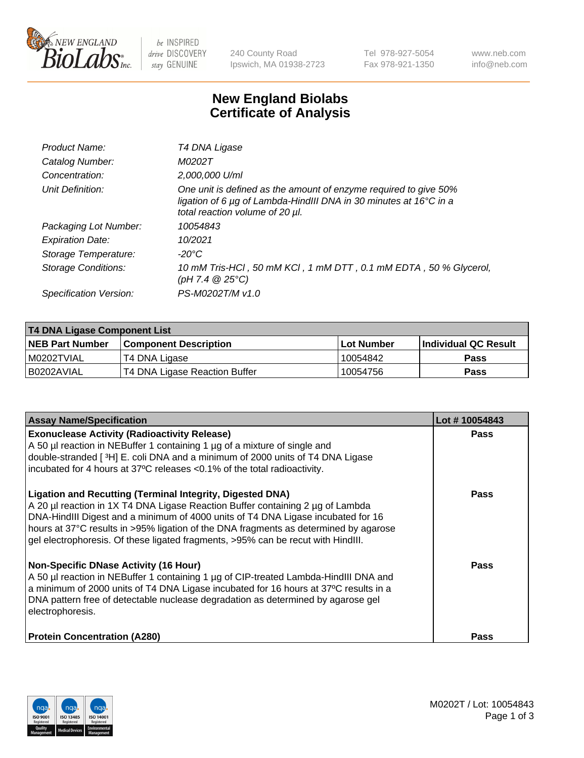

 $be$  INSPIRED drive DISCOVERY stay GENUINE

240 County Road Ipswich, MA 01938-2723 Tel 978-927-5054 Fax 978-921-1350 www.neb.com info@neb.com

## **New England Biolabs Certificate of Analysis**

| Product Name:           | T4 DNA Ligase                                                                                                                                                            |
|-------------------------|--------------------------------------------------------------------------------------------------------------------------------------------------------------------------|
| Catalog Number:         | M0202T                                                                                                                                                                   |
| Concentration:          | 2,000,000 U/ml                                                                                                                                                           |
| Unit Definition:        | One unit is defined as the amount of enzyme required to give 50%<br>ligation of 6 µg of Lambda-HindIII DNA in 30 minutes at 16°C in a<br>total reaction volume of 20 µl. |
| Packaging Lot Number:   | 10054843                                                                                                                                                                 |
| <b>Expiration Date:</b> | 10/2021                                                                                                                                                                  |
| Storage Temperature:    | -20°C                                                                                                                                                                    |
| Storage Conditions:     | 10 mM Tris-HCl, 50 mM KCl, 1 mM DTT, 0.1 mM EDTA, 50 % Glycerol,<br>(pH 7.4 $@25°C$ )                                                                                    |
| Specification Version:  | PS-M0202T/M v1.0                                                                                                                                                         |
|                         |                                                                                                                                                                          |

| T4 DNA Ligase Component List |                               |            |                             |  |
|------------------------------|-------------------------------|------------|-----------------------------|--|
| <b>NEB Part Number</b>       | <b>Component Description</b>  | Lot Number | <b>Individual QC Result</b> |  |
| I M0202TVIAL                 | T4 DNA Ligase                 | 10054842   | Pass                        |  |
| I B0202AVIAL                 | T4 DNA Ligase Reaction Buffer | 10054756   | <b>Pass</b>                 |  |

| <b>Assay Name/Specification</b>                                                                                                                                                                                                                                                                                                                                                                                    | Lot #10054843 |
|--------------------------------------------------------------------------------------------------------------------------------------------------------------------------------------------------------------------------------------------------------------------------------------------------------------------------------------------------------------------------------------------------------------------|---------------|
| <b>Exonuclease Activity (Radioactivity Release)</b><br>A 50 µl reaction in NEBuffer 1 containing 1 µg of a mixture of single and<br>double-stranded [3H] E. coli DNA and a minimum of 2000 units of T4 DNA Ligase                                                                                                                                                                                                  | Pass          |
| incubated for 4 hours at 37°C releases <0.1% of the total radioactivity.                                                                                                                                                                                                                                                                                                                                           |               |
| <b>Ligation and Recutting (Terminal Integrity, Digested DNA)</b><br>A 20 µl reaction in 1X T4 DNA Ligase Reaction Buffer containing 2 µg of Lambda<br>DNA-HindIII Digest and a minimum of 4000 units of T4 DNA Ligase incubated for 16<br>hours at 37°C results in >95% ligation of the DNA fragments as determined by agarose<br>gel electrophoresis. Of these ligated fragments, >95% can be recut with HindIII. | <b>Pass</b>   |
| Non-Specific DNase Activity (16 Hour)<br>A 50 µl reaction in NEBuffer 1 containing 1 µg of CIP-treated Lambda-HindIII DNA and<br>a minimum of 2000 units of T4 DNA Ligase incubated for 16 hours at 37°C results in a<br>DNA pattern free of detectable nuclease degradation as determined by agarose gel<br>electrophoresis.                                                                                      | Pass          |
| <b>Protein Concentration (A280)</b>                                                                                                                                                                                                                                                                                                                                                                                | Pass          |

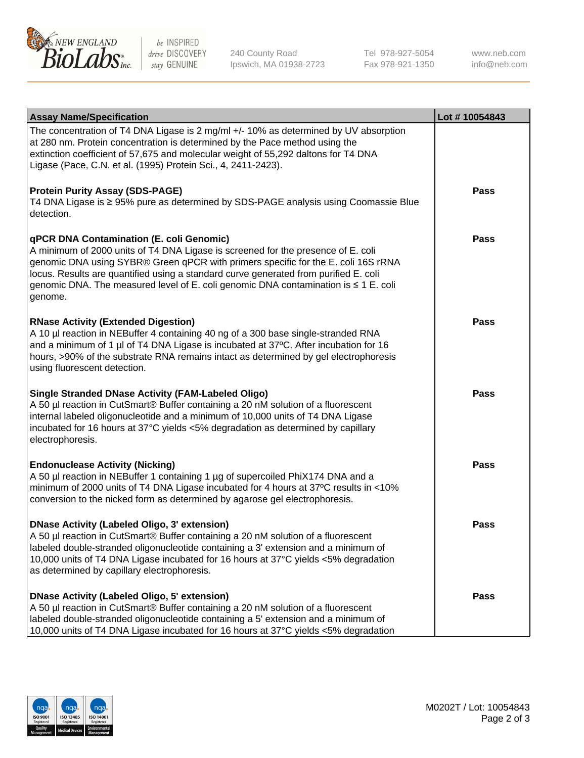

be INSPIRED drive DISCOVERY stay GENUINE

240 County Road Ipswich, MA 01938-2723 Tel 978-927-5054 Fax 978-921-1350

www.neb.com info@neb.com

| <b>Assay Name/Specification</b>                                                                                                                                                                                                                                                                                                                                                                             | Lot #10054843 |
|-------------------------------------------------------------------------------------------------------------------------------------------------------------------------------------------------------------------------------------------------------------------------------------------------------------------------------------------------------------------------------------------------------------|---------------|
| The concentration of T4 DNA Ligase is 2 mg/ml +/- 10% as determined by UV absorption<br>at 280 nm. Protein concentration is determined by the Pace method using the<br>extinction coefficient of 57,675 and molecular weight of 55,292 daltons for T4 DNA<br>Ligase (Pace, C.N. et al. (1995) Protein Sci., 4, 2411-2423).                                                                                  |               |
| <b>Protein Purity Assay (SDS-PAGE)</b><br>T4 DNA Ligase is ≥ 95% pure as determined by SDS-PAGE analysis using Coomassie Blue<br>detection.                                                                                                                                                                                                                                                                 | <b>Pass</b>   |
| qPCR DNA Contamination (E. coli Genomic)<br>A minimum of 2000 units of T4 DNA Ligase is screened for the presence of E. coli<br>genomic DNA using SYBR® Green qPCR with primers specific for the E. coli 16S rRNA<br>locus. Results are quantified using a standard curve generated from purified E. coli<br>genomic DNA. The measured level of E. coli genomic DNA contamination is ≤ 1 E. coli<br>genome. | Pass          |
| <b>RNase Activity (Extended Digestion)</b><br>A 10 µl reaction in NEBuffer 4 containing 40 ng of a 300 base single-stranded RNA<br>and a minimum of 1 µl of T4 DNA Ligase is incubated at 37°C. After incubation for 16<br>hours, >90% of the substrate RNA remains intact as determined by gel electrophoresis<br>using fluorescent detection.                                                             | Pass          |
| <b>Single Stranded DNase Activity (FAM-Labeled Oligo)</b><br>A 50 µl reaction in CutSmart® Buffer containing a 20 nM solution of a fluorescent<br>internal labeled oligonucleotide and a minimum of 10,000 units of T4 DNA Ligase<br>incubated for 16 hours at 37°C yields <5% degradation as determined by capillary<br>electrophoresis.                                                                   | <b>Pass</b>   |
| <b>Endonuclease Activity (Nicking)</b><br>A 50 µl reaction in NEBuffer 1 containing 1 µg of supercoiled PhiX174 DNA and a<br>minimum of 2000 units of T4 DNA Ligase incubated for 4 hours at 37°C results in <10%<br>conversion to the nicked form as determined by agarose gel electrophoresis.                                                                                                            | <b>Pass</b>   |
| DNase Activity (Labeled Oligo, 3' extension)<br>A 50 µl reaction in CutSmart® Buffer containing a 20 nM solution of a fluorescent<br>labeled double-stranded oligonucleotide containing a 3' extension and a minimum of<br>10,000 units of T4 DNA Ligase incubated for 16 hours at 37°C yields <5% degradation<br>as determined by capillary electrophoresis.                                               | Pass          |
| <b>DNase Activity (Labeled Oligo, 5' extension)</b><br>A 50 µl reaction in CutSmart® Buffer containing a 20 nM solution of a fluorescent<br>labeled double-stranded oligonucleotide containing a 5' extension and a minimum of<br>10,000 units of T4 DNA Ligase incubated for 16 hours at 37°C yields <5% degradation                                                                                       | Pass          |